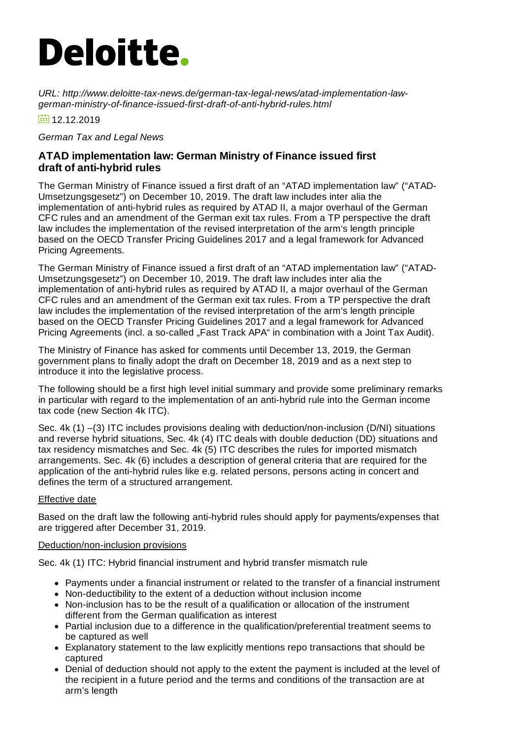# **Deloitte.**

*URL: http://www.deloitte-tax-news.de/german-tax-legal-news/atad-implementation-lawgerman-ministry-of-finance-issued-first-draft-of-anti-hybrid-rules.html*

 $\frac{1}{12}$  12.12.2019

*German Tax and Legal News*

#### **ATAD implementation law: German Ministry of Finance issued first draft of anti-hybrid rules**

The German Ministry of Finance issued a first draft of an "ATAD implementation law" ("ATAD-Umsetzungsgesetz") on December 10, 2019. The draft law includes inter alia the implementation of anti-hybrid rules as required by ATAD II, a major overhaul of the German CFC rules and an amendment of the German exit tax rules. From a TP perspective the draft law includes the implementation of the revised interpretation of the arm's length principle based on the OECD Transfer Pricing Guidelines 2017 and a legal framework for Advanced Pricing Agreements.

The German Ministry of Finance issued a first draft of an "ATAD implementation law" ("ATAD-Umsetzungsgesetz") on December 10, 2019. The draft law includes inter alia the implementation of anti-hybrid rules as required by ATAD II, a major overhaul of the German CFC rules and an amendment of the German exit tax rules. From a TP perspective the draft law includes the implementation of the revised interpretation of the arm's length principle based on the OECD Transfer Pricing Guidelines 2017 and a legal framework for Advanced Pricing Agreements (incl. a so-called "Fast Track APA" in combination with a Joint Tax Audit).

The Ministry of Finance has asked for comments until December 13, 2019, the German government plans to finally adopt the draft on December 18, 2019 and as a next step to introduce it into the legislative process.

The following should be a first high level initial summary and provide some preliminary remarks in particular with regard to the implementation of an anti-hybrid rule into the German income tax code (new Section 4k ITC).

Sec. 4k (1) –(3) ITC includes provisions dealing with deduction/non-inclusion (D/NI) situations and reverse hybrid situations, Sec. 4k (4) ITC deals with double deduction (DD) situations and tax residency mismatches and Sec. 4k (5) ITC describes the rules for imported mismatch arrangements. Sec. 4k (6) includes a description of general criteria that are required for the application of the anti-hybrid rules like e.g. related persons, persons acting in concert and defines the term of a structured arrangement.

#### Effective date

Based on the draft law the following anti-hybrid rules should apply for payments/expenses that are triggered after December 31, 2019.

#### Deduction/non-inclusion provisions

Sec. 4k (1) ITC: Hybrid financial instrument and hybrid transfer mismatch rule

- Payments under a financial instrument or related to the transfer of a financial instrument
- Non-deductibility to the extent of a deduction without inclusion income
- Non-inclusion has to be the result of a qualification or allocation of the instrument different from the German qualification as interest
- Partial inclusion due to a difference in the qualification/preferential treatment seems to be captured as well
- Explanatory statement to the law explicitly mentions repo transactions that should be captured
- Denial of deduction should not apply to the extent the payment is included at the level of the recipient in a future period and the terms and conditions of the transaction are at arm's length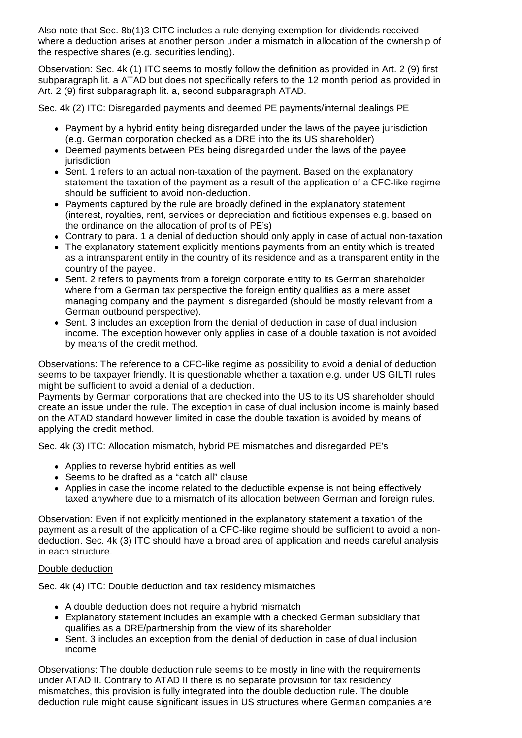Also note that Sec. 8b(1)3 CITC includes a rule denying exemption for dividends received where a deduction arises at another person under a mismatch in allocation of the ownership of the respective shares (e.g. securities lending).

Observation: Sec. 4k (1) ITC seems to mostly follow the definition as provided in Art. 2 (9) first subparagraph lit. a ATAD but does not specifically refers to the 12 month period as provided in Art. 2 (9) first subparagraph lit. a, second subparagraph ATAD.

Sec. 4k (2) ITC: Disregarded payments and deemed PE payments/internal dealings PE

- Payment by a hybrid entity being disregarded under the laws of the payee jurisdiction (e.g. German corporation checked as a DRE into the its US shareholder)
- Deemed payments between PEs being disregarded under the laws of the payee iurisdiction
- Sent. 1 refers to an actual non-taxation of the payment. Based on the explanatory statement the taxation of the payment as a result of the application of a CFC-like regime should be sufficient to avoid non-deduction.
- Payments captured by the rule are broadly defined in the explanatory statement (interest, royalties, rent, services or depreciation and fictitious expenses e.g. based on the ordinance on the allocation of profits of PE's)
- Contrary to para. 1 a denial of deduction should only apply in case of actual non-taxation
- The explanatory statement explicitly mentions payments from an entity which is treated as a intransparent entity in the country of its residence and as a transparent entity in the country of the payee.
- Sent. 2 refers to payments from a foreign corporate entity to its German shareholder where from a German tax perspective the foreign entity qualifies as a mere asset managing company and the payment is disregarded (should be mostly relevant from a German outbound perspective).
- Sent. 3 includes an exception from the denial of deduction in case of dual inclusion income. The exception however only applies in case of a double taxation is not avoided by means of the credit method.

Observations: The reference to a CFC-like regime as possibility to avoid a denial of deduction seems to be taxpayer friendly. It is questionable whether a taxation e.g. under US GILTI rules might be sufficient to avoid a denial of a deduction.

Payments by German corporations that are checked into the US to its US shareholder should create an issue under the rule. The exception in case of dual inclusion income is mainly based on the ATAD standard however limited in case the double taxation is avoided by means of applying the credit method.

Sec. 4k (3) ITC: Allocation mismatch, hybrid PE mismatches and disregarded PE's

- Applies to reverse hybrid entities as well
- Seems to be drafted as a "catch all" clause
- Applies in case the income related to the deductible expense is not being effectively taxed anywhere due to a mismatch of its allocation between German and foreign rules.

Observation: Even if not explicitly mentioned in the explanatory statement a taxation of the payment as a result of the application of a CFC-like regime should be sufficient to avoid a nondeduction. Sec. 4k (3) ITC should have a broad area of application and needs careful analysis in each structure.

#### Double deduction

Sec. 4k (4) ITC: Double deduction and tax residency mismatches

- A double deduction does not require a hybrid mismatch
- Explanatory statement includes an example with a checked German subsidiary that qualifies as a DRE/partnership from the view of its shareholder
- Sent. 3 includes an exception from the denial of deduction in case of dual inclusion income

Observations: The double deduction rule seems to be mostly in line with the requirements under ATAD II. Contrary to ATAD II there is no separate provision for tax residency mismatches, this provision is fully integrated into the double deduction rule. The double deduction rule might cause significant issues in US structures where German companies are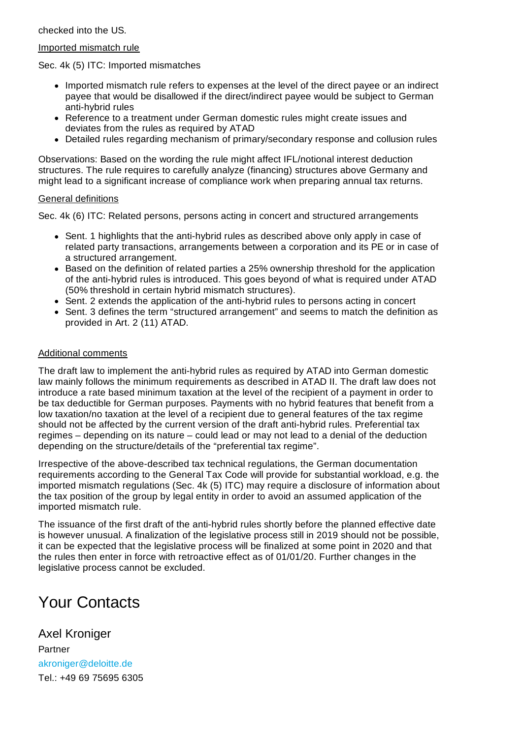checked into the US.

#### Imported mismatch rule

Sec. 4k (5) ITC: Imported mismatches

- Imported mismatch rule refers to expenses at the level of the direct payee or an indirect payee that would be disallowed if the direct/indirect payee would be subject to German anti-hybrid rules
- Reference to a treatment under German domestic rules might create issues and deviates from the rules as required by ATAD
- Detailed rules regarding mechanism of primary/secondary response and collusion rules

Observations: Based on the wording the rule might affect IFL/notional interest deduction structures. The rule requires to carefully analyze (financing) structures above Germany and might lead to a significant increase of compliance work when preparing annual tax returns.

#### General definitions

Sec. 4k (6) ITC: Related persons, persons acting in concert and structured arrangements

- Sent. 1 highlights that the anti-hybrid rules as described above only apply in case of related party transactions, arrangements between a corporation and its PE or in case of a structured arrangement.
- Based on the definition of related parties a 25% ownership threshold for the application of the anti-hybrid rules is introduced. This goes beyond of what is required under ATAD (50% threshold in certain hybrid mismatch structures).
- Sent. 2 extends the application of the anti-hybrid rules to persons acting in concert
- Sent. 3 defines the term "structured arrangement" and seems to match the definition as provided in Art. 2 (11) ATAD.

#### Additional comments

The draft law to implement the anti-hybrid rules as required by ATAD into German domestic law mainly follows the minimum requirements as described in ATAD II. The draft law does not introduce a rate based minimum taxation at the level of the recipient of a payment in order to be tax deductible for German purposes. Payments with no hybrid features that benefit from a low taxation/no taxation at the level of a recipient due to general features of the tax regime should not be affected by the current version of the draft anti-hybrid rules. Preferential tax regimes – depending on its nature – could lead or may not lead to a denial of the deduction depending on the structure/details of the "preferential tax regime".

Irrespective of the above-described tax technical regulations, the German documentation requirements according to the General Tax Code will provide for substantial workload, e.g. the imported mismatch regulations (Sec. 4k (5) ITC) may require a disclosure of information about the tax position of the group by legal entity in order to avoid an assumed application of the imported mismatch rule.

The issuance of the first draft of the anti-hybrid rules shortly before the planned effective date is however unusual. A finalization of the legislative process still in 2019 should not be possible, it can be expected that the legislative process will be finalized at some point in 2020 and that the rules then enter in force with retroactive effect as of 01/01/20. Further changes in the legislative process cannot be excluded.

## Your Contacts

Axel Kroniger Partner [akroniger@deloitte.de](mailto:akroniger@deloitte.de) Tel.: +49 69 [75695](tel:+49 69 75695 6305) 6305